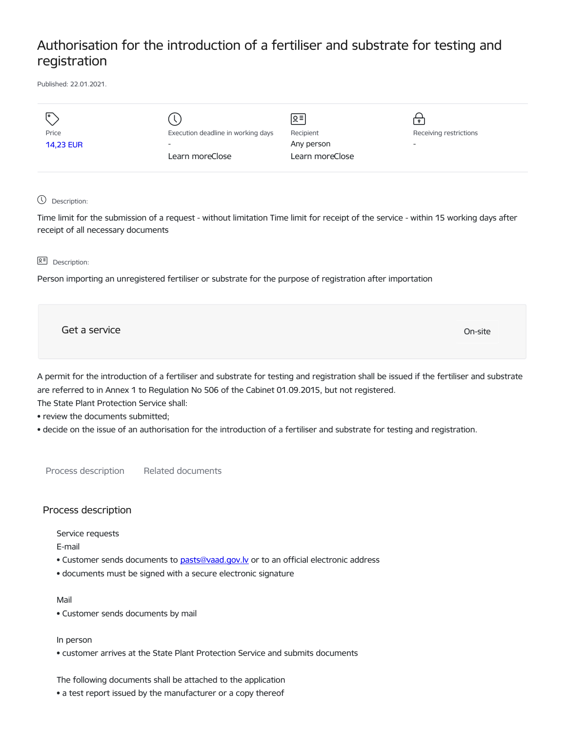# Authorisation for the introduction of a fertiliser and substrate for testing and registration

Published: 22.01.2021.

| I۰               |                                    | ∣ছ≅             |                          |
|------------------|------------------------------------|-----------------|--------------------------|
| Price            | Execution deadline in working days | Recipient       | Receiving restrictions   |
| <b>14,23 EUR</b> | $\overline{\phantom{a}}$           | Any person      | $\overline{\phantom{a}}$ |
|                  | Learn moreClose                    | Learn moreClose |                          |
|                  |                                    |                 |                          |

Description:

Time limit for the submission of a request - without limitation Time limit for receipt of the service - within 15 working days after receipt of all necessary documents

**B<sup>=</sup>** Description:

Person importing an unregistered fertiliser or substrate for the purpose of registration after importation

Get a service only a service of the contract of the contract of the contract of the contract of the contract of the contract of the contract of the contract of the contract of the contract of the contract of the contract o

A permit for the introduction of a fertiliser and substrate for testing and registration shall be issued if the fertiliser and substrate are referred to in Annex 1 to Regulation No 506 of the Cabinet 01.09.2015, but not registered.

The State Plant Protection Service shall:

• review the documents submitted;

• decide on the issue of an authorisation for the introduction of a fertiliser and substrate for testing and registration.

Process description Related documents

## Process description

Service requests

E-mail

- Customer sends documents to pasts@vaad.gov.ly or to an official electronic address
- documents must be signed with a secure electronic signature

### Mail

• Customer sends documents by mail

In person

• customer arrives at the State Plant Protection Service and submits documents

The following documents shall be attached to the application

• a test report issued by the manufacturer or a copy thereof